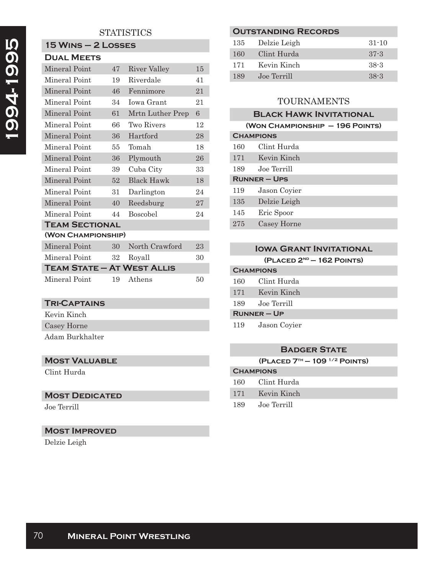# **STATISTICS**

# **15 Wins – 2 Losses**

| <b>DUAL MEETS</b>                 |    |                   |    |  |  |
|-----------------------------------|----|-------------------|----|--|--|
| <b>Mineral Point</b>              | 47 | River Valley      | 15 |  |  |
| Mineral Point                     | 19 | Riverdale         | 41 |  |  |
| Mineral Point                     | 46 | Fennimore         | 21 |  |  |
| Mineral Point                     | 34 | <b>Iowa Grant</b> | 21 |  |  |
| Mineral Point                     | 61 | Mrtn Luther Prep  | 6  |  |  |
| Mineral Point                     | 66 | Two Rivers        | 12 |  |  |
| Mineral Point                     | 36 | Hartford          | 28 |  |  |
| Mineral Point                     | 55 | Tomah             | 18 |  |  |
| Mineral Point                     | 36 | Plymouth          | 26 |  |  |
| Mineral Point                     | 39 | Cuba City         | 33 |  |  |
| <b>Mineral Point</b>              | 52 | Black Hawk        | 18 |  |  |
| Mineral Point                     | 31 | Darlington        | 24 |  |  |
| Mineral Point                     | 40 | Reedsburg         | 27 |  |  |
| Mineral Point                     | 44 | <b>Boscobel</b>   | 24 |  |  |
| <b>TEAM SECTIONAL</b>             |    |                   |    |  |  |
| (WON CHAMPIONSHIP)                |    |                   |    |  |  |
| Mineral Point                     | 30 | North Crawford    | 23 |  |  |
| Mineral Point                     | 32 | Royall            | 30 |  |  |
| <b>TEAM STATE - AT WEST ALLIS</b> |    |                   |    |  |  |
| Mineral Point                     | 19 | Athens            | 50 |  |  |

## **Tri-Captains**

Kevin Kinch Casey Horne Adam Burkhalter

# **Most Valuable**

Clint Hurda

# **Most Dedicated**

Joe Terrill

## **Most Improved**

Delzie Leigh

## **Outstanding Records**

| 135 | Delzie Leigh | $31 - 10$ |
|-----|--------------|-----------|
| 160 | Clint Hurda  | $37 - 3$  |
| 171 | Kevin Kinch  | $38-3$    |
| 189 | Joe Terrill  | $38-3$    |

# TOURNAMENTS

# **Black Hawk Invitational**

| (WON CHAMPIONSHIP - 196 POINTS) |              |  |
|---------------------------------|--------------|--|
| <b>CHAMPIONS</b>                |              |  |
| 160                             | Clint Hurda  |  |
| 171                             | Kevin Kinch  |  |
| 189                             | Joe Terrill  |  |
| <b>RUNNER-UPS</b>               |              |  |
| 119                             | Jason Coyier |  |
| 135                             | Delzie Leigh |  |
| 145                             | Eric Spoor   |  |
| 275                             | Casey Horne  |  |

| <b>IOWA GRANT INVITATIONAL</b> |                             |  |
|--------------------------------|-----------------------------|--|
|                                | $(PLACED 2ND - 162 POINTS)$ |  |
| <b>CHAMPIONS</b>               |                             |  |
| 160                            | Clint Hurda                 |  |
| 171                            | Kevin Kinch                 |  |
| 189                            | Joe Terrill                 |  |
| $R$ UNNER – UP                 |                             |  |
| 119                            | Jason Coyier                |  |

### **Badger State**

**(Placed 7th — 109 1/2 Points)**

# **Champions**

- 160 Clint Hurda
- 171 Kevin Kinch
- 189 Joe Terrill